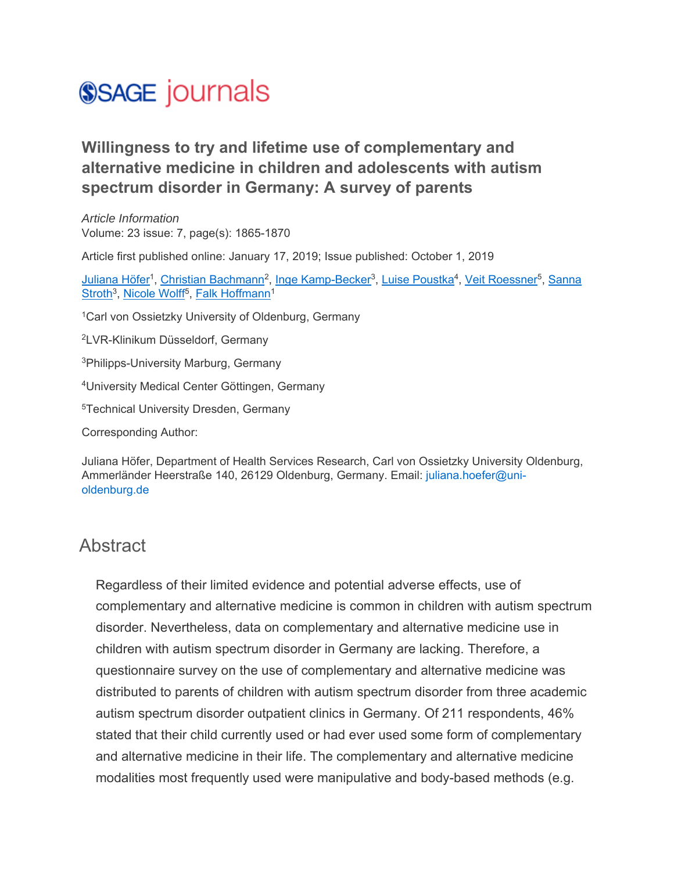## **SSAGE** journals

## **Willingness to try and lifetime use of complementary and alternative medicine in children and adolescents with autism spectrum disorder in Germany: A survey of parents**

*Article Information* Volume: 23 issue: 7, page(s): 1865-1870

Article first published online: January 17, 2019; Issue published: October 1, 2019

Juliana Höfer<sup>1</sup>, Christian Bachmann<sup>2</sup>, Inge Kamp-Becker<sup>3</sup>, Luise Poustka<sup>4</sup>, Veit Roessner<sup>5</sup>, Sanna Stroth<sup>3</sup>, Nicole Wolff<sup>5</sup>, Falk Hoffmann<sup>1</sup>

<sup>1</sup>Carl von Ossietzky University of Oldenburg, Germany

2LVR-Klinikum Düsseldorf, Germany

3Philipps-University Marburg, Germany

4University Medical Center Göttingen, Germany

5Technical University Dresden, Germany

Corresponding Author:

Juliana Höfer, Department of Health Services Research, Carl von Ossietzky University Oldenburg, Ammerländer Heerstraße 140, 26129 Oldenburg, Germany. Email: juliana.hoefer@unioldenburg.de

## **Abstract**

Regardless of their limited evidence and potential adverse effects, use of complementary and alternative medicine is common in children with autism spectrum disorder. Nevertheless, data on complementary and alternative medicine use in children with autism spectrum disorder in Germany are lacking. Therefore, a questionnaire survey on the use of complementary and alternative medicine was distributed to parents of children with autism spectrum disorder from three academic autism spectrum disorder outpatient clinics in Germany. Of 211 respondents, 46% stated that their child currently used or had ever used some form of complementary and alternative medicine in their life. The complementary and alternative medicine modalities most frequently used were manipulative and body-based methods (e.g.